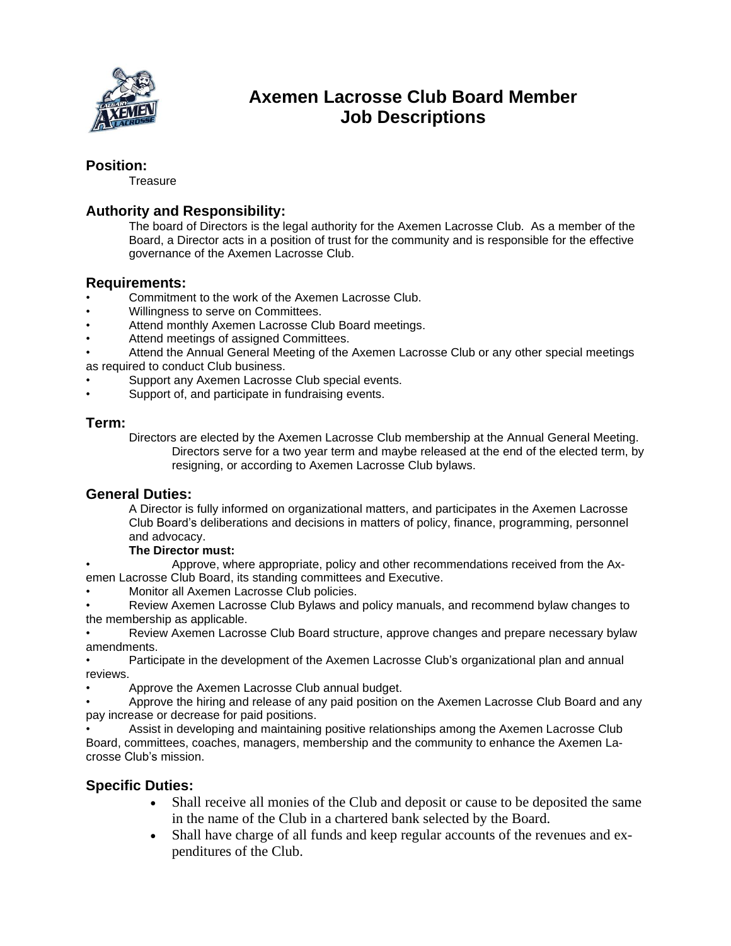

# **Axemen Lacrosse Club Board Member Job Descriptions**

## **Position:**

**Treasure** 

# **Authority and Responsibility:**

The board of Directors is the legal authority for the Axemen Lacrosse Club. As a member of the Board, a Director acts in a position of trust for the community and is responsible for the effective governance of the Axemen Lacrosse Club.

### **Requirements:**

- Commitment to the work of the Axemen Lacrosse Club.
- Willingness to serve on Committees.
- Attend monthly Axemen Lacrosse Club Board meetings.
- Attend meetings of assigned Committees.
- Attend the Annual General Meeting of the Axemen Lacrosse Club or any other special meetings as required to conduct Club business.
- Support any Axemen Lacrosse Club special events.
- Support of, and participate in fundraising events.

### **Term:**

Directors are elected by the Axemen Lacrosse Club membership at the Annual General Meeting. Directors serve for a two year term and maybe released at the end of the elected term, by resigning, or according to Axemen Lacrosse Club bylaws.

#### **General Duties:**

A Director is fully informed on organizational matters, and participates in the Axemen Lacrosse Club Board's deliberations and decisions in matters of policy, finance, programming, personnel and advocacy.

#### **The Director must:**

• Approve, where appropriate, policy and other recommendations received from the Axemen Lacrosse Club Board, its standing committees and Executive.

• Monitor all Axemen Lacrosse Club policies.

• Review Axemen Lacrosse Club Bylaws and policy manuals, and recommend bylaw changes to the membership as applicable.

• Review Axemen Lacrosse Club Board structure, approve changes and prepare necessary bylaw amendments.

• Participate in the development of the Axemen Lacrosse Club's organizational plan and annual reviews.

• Approve the Axemen Lacrosse Club annual budget.

• Approve the hiring and release of any paid position on the Axemen Lacrosse Club Board and any pay increase or decrease for paid positions.

• Assist in developing and maintaining positive relationships among the Axemen Lacrosse Club Board, committees, coaches, managers, membership and the community to enhance the Axemen Lacrosse Club's mission.

# **Specific Duties:**

- Shall receive all monies of the Club and deposit or cause to be deposited the same in the name of the Club in a chartered bank selected by the Board.
- Shall have charge of all funds and keep regular accounts of the revenues and expenditures of the Club.